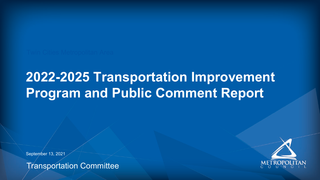Transportation Committee







# **2022-2025 Transportation Improvement Program and Public Comment Report**

September 13, 2021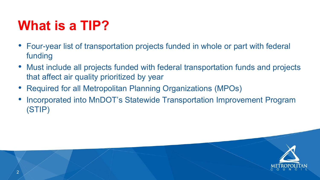



- Four-year list of transportation projects funded in whole or part with federal funding
- Must include all projects funded with federal transportation funds and projects that affect air quality prioritized by year
- Required for all Metropolitan Planning Organizations (MPOs)
- Incorporated into MnDOT's Statewide Transportation Improvement Program (STIP)

## **What is a TIP?**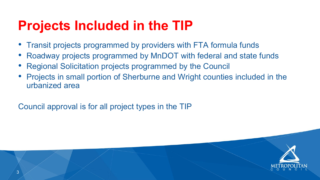- Transit projects programmed by providers with FTA formula funds
- 
- Regional Solicitation projects programmed by the Council
- urbanized area

• Roadway projects programmed by MnDOT with federal and state funds • Projects in small portion of Sherburne and Wright counties included in the





Council approval is for all project types in the TIP

## **Projects Included in the TIP**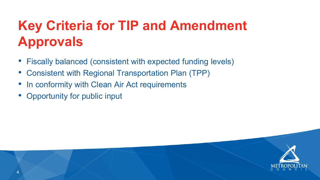- Fiscally balanced (consistent with expected funding levels) • Consistent with Regional Transportation Plan (TPP)
- 
- In conformity with Clean Air Act requirements
- Opportunity for public input



## **Key Criteria for TIP and Amendment Approvals**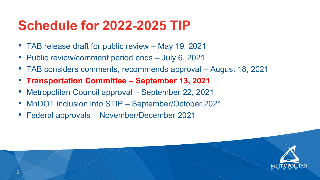



- TAB release draft for public review May 19, 2021
- Public review/comment period ends July 6, 2021
- TAB considers comments, recommends approval August 18, 2021
- **Transportation Committee – September 13, 2021**
- Metropolitan Council approval September 22, 2021
- MnDOT inclusion into STIP September/October 2021
- Federal approvals November/December 2021

### **Schedule for 2022-2025 TIP**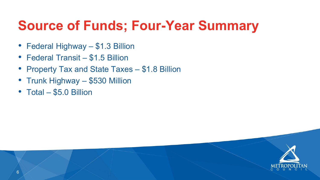

### **Source of Funds; Four-Year Summary**

- Federal Highway \$1.3 Billion
- Federal Transit \$1.5 Billion
- Property Tax and State Taxes \$1.8 Billion
- Trunk Highway \$530 Million
- Total \$5.0 Billion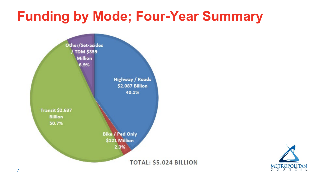### **TOTAL: \$5.024 BILLION**



### **Funding by Mode; Four-Year Summary**

Other/Set-asides TDM \$359 **Million** 6.9%

> Highway / Roads \$2.087 Billion 40.1%

**Transit \$2.637 Billion** 50.7%

> **Bike / Ped Only** \$121 Million 2.3%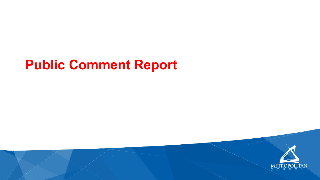### **Public Comment Report**



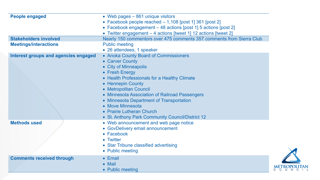| <b>People engaged</b>                | • Web pages – 861 uniqu<br>• Facebook people reach<br>• Facebook engagement -<br>• Twitter engagement - 4                                                                                                                                                                                             |
|--------------------------------------|-------------------------------------------------------------------------------------------------------------------------------------------------------------------------------------------------------------------------------------------------------------------------------------------------------|
| <b>Stakeholders involved</b>         | Nearly 150 commentors of                                                                                                                                                                                                                                                                              |
| <b>Meetings/interactions</b>         | <b>Public meeting</b><br>• 26 attendees, 1 speaker                                                                                                                                                                                                                                                    |
| Interest groups and agencies engaged | • Anoka County Board of<br>• Carver County<br>• City of Minneapolis<br>• Fresh Energy<br>• Health Professionals for<br>• Hennepin County<br>• Metropolitan Council<br>· Minnesota Association c<br>• Minnesota Department<br>• Move Minnesota<br>• Prairie Lutheran Church<br>• St. Anthony Park Comm |
| <b>Methods used</b>                  | • Web announcement and<br>• GovDelivery email anno<br>• Facebook<br>• Twitter<br>• Star Tribune classified a<br>• Public meeting                                                                                                                                                                      |
| <b>Comments received through</b>     | • Email<br>$\bullet$ Mail<br>• Public meeting                                                                                                                                                                                                                                                         |
|                                      |                                                                                                                                                                                                                                                                                                       |

**ique visitors** ached – 1,108 [post 1] 361 [post 2] ent – 48 actions [post 1] 5 actions [post 2] - 4 actions [tweet 1] 12 actions [tweet 2] **Sover 475 comments 357 comments from Sierra Club** 

aker **Interest and Commissioners** 

for a Healthy Climate

on of Railroad Passengers **nt of Transportation** 

mmunity Council/District 12 and web page notice nnouncement

ed advertising

![](_page_8_Picture_7.jpeg)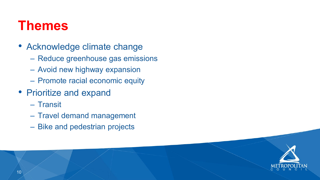![](_page_9_Picture_10.jpeg)

![](_page_9_Picture_11.jpeg)

- Acknowledge climate change
	- Reduce greenhouse gas emissions
	- Avoid new highway expansion
	- Promote racial economic equity
- Prioritize and expand
	- Transit
	- Travel demand management
	- Bike and pedestrian projects

### **Themes**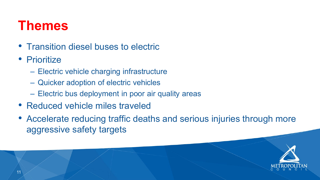![](_page_10_Picture_11.jpeg)

- Transition diesel buses to electric
- Prioritize
	- Electric vehicle charging infrastructure
	- Quicker adoption of electric vehicles
	- Electric bus deployment in poor air quality areas
- Reduced vehicle miles traveled
- Accelerate reducing traffic deaths and serious injuries through more aggressive safety targets

### **Themes**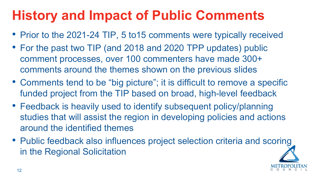- Prior to the 2021-24 TIP, 5 to 15 comments were typically received • For the past two TIP (and 2018 and 2020 TPP updates) public comment processes, over 100 commenters have made 300+ comments around the themes shown on the previous slides
- 
- Comments tend to be "big picture"; it is difficult to remove a specific funded project from the TIP based on broad, high-level feedback
- Feedback is heavily used to identify subsequent policy/planning studies that will assist the region in developing policies and actions around the identified themes
- in the Regional Solicitation

• Public feedback also influences project selection criteria and scoring

![](_page_11_Picture_8.jpeg)

# **History and Impact of Public Comments**